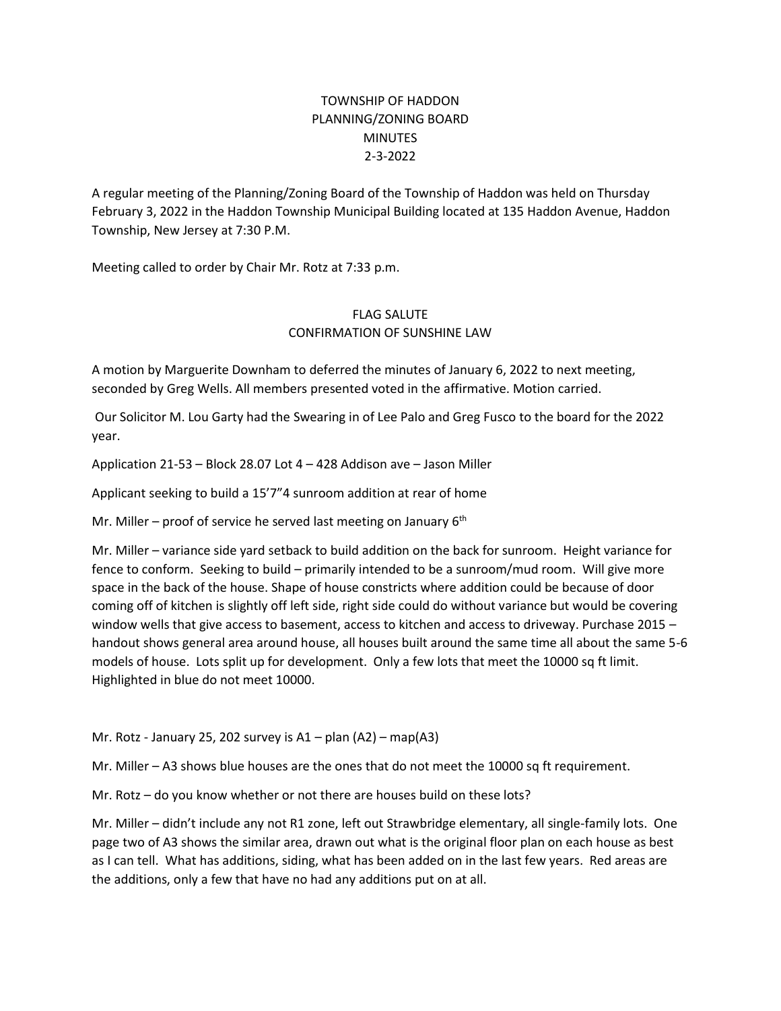## TOWNSHIP OF HADDON PLANNING/ZONING BOARD **MINUTES** 2-3-2022

A regular meeting of the Planning/Zoning Board of the Township of Haddon was held on Thursday February 3, 2022 in the Haddon Township Municipal Building located at 135 Haddon Avenue, Haddon Township, New Jersey at 7:30 P.M.

Meeting called to order by Chair Mr. Rotz at 7:33 p.m.

## FLAG SALUTE CONFIRMATION OF SUNSHINE LAW

A motion by Marguerite Downham to deferred the minutes of January 6, 2022 to next meeting, seconded by Greg Wells. All members presented voted in the affirmative. Motion carried.

Our Solicitor M. Lou Garty had the Swearing in of Lee Palo and Greg Fusco to the board for the 2022 year.

Application 21-53 – Block 28.07 Lot 4 – 428 Addison ave – Jason Miller

Applicant seeking to build a 15'7"4 sunroom addition at rear of home

Mr. Miller – proof of service he served last meeting on January  $6<sup>th</sup>$ 

Mr. Miller – variance side yard setback to build addition on the back for sunroom. Height variance for fence to conform. Seeking to build – primarily intended to be a sunroom/mud room. Will give more space in the back of the house. Shape of house constricts where addition could be because of door coming off of kitchen is slightly off left side, right side could do without variance but would be covering window wells that give access to basement, access to kitchen and access to driveway. Purchase 2015 – handout shows general area around house, all houses built around the same time all about the same 5-6 models of house. Lots split up for development. Only a few lots that meet the 10000 sq ft limit. Highlighted in blue do not meet 10000.

Mr. Rotz - January 25, 202 survey is  $A1 -$  plan  $(A2) -$  map $(A3)$ 

Mr. Miller – A3 shows blue houses are the ones that do not meet the 10000 sq ft requirement.

Mr. Rotz – do you know whether or not there are houses build on these lots?

Mr. Miller – didn't include any not R1 zone, left out Strawbridge elementary, all single-family lots. One page two of A3 shows the similar area, drawn out what is the original floor plan on each house as best as I can tell. What has additions, siding, what has been added on in the last few years. Red areas are the additions, only a few that have no had any additions put on at all.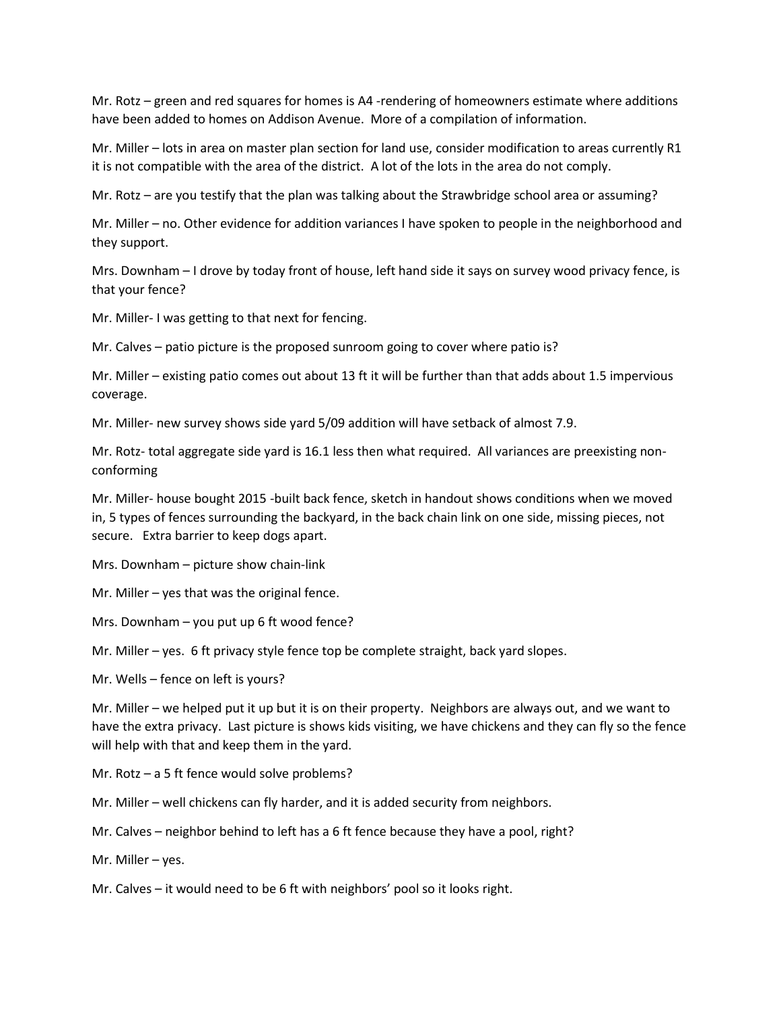Mr. Rotz – green and red squares for homes is A4 -rendering of homeowners estimate where additions have been added to homes on Addison Avenue. More of a compilation of information.

Mr. Miller – lots in area on master plan section for land use, consider modification to areas currently R1 it is not compatible with the area of the district. A lot of the lots in the area do not comply.

Mr. Rotz – are you testify that the plan was talking about the Strawbridge school area or assuming?

Mr. Miller – no. Other evidence for addition variances I have spoken to people in the neighborhood and they support.

Mrs. Downham – I drove by today front of house, left hand side it says on survey wood privacy fence, is that your fence?

Mr. Miller- I was getting to that next for fencing.

Mr. Calves – patio picture is the proposed sunroom going to cover where patio is?

Mr. Miller – existing patio comes out about 13 ft it will be further than that adds about 1.5 impervious coverage.

Mr. Miller- new survey shows side yard 5/09 addition will have setback of almost 7.9.

Mr. Rotz- total aggregate side yard is 16.1 less then what required. All variances are preexisting nonconforming

Mr. Miller- house bought 2015 -built back fence, sketch in handout shows conditions when we moved in, 5 types of fences surrounding the backyard, in the back chain link on one side, missing pieces, not secure. Extra barrier to keep dogs apart.

Mrs. Downham – picture show chain-link

Mr. Miller – yes that was the original fence.

Mrs. Downham – you put up 6 ft wood fence?

Mr. Miller – yes. 6 ft privacy style fence top be complete straight, back yard slopes.

Mr. Wells – fence on left is yours?

Mr. Miller – we helped put it up but it is on their property. Neighbors are always out, and we want to have the extra privacy. Last picture is shows kids visiting, we have chickens and they can fly so the fence will help with that and keep them in the yard.

Mr. Rotz – a 5 ft fence would solve problems?

Mr. Miller – well chickens can fly harder, and it is added security from neighbors.

Mr. Calves – neighbor behind to left has a 6 ft fence because they have a pool, right?

Mr. Miller – yes.

Mr. Calves – it would need to be 6 ft with neighbors' pool so it looks right.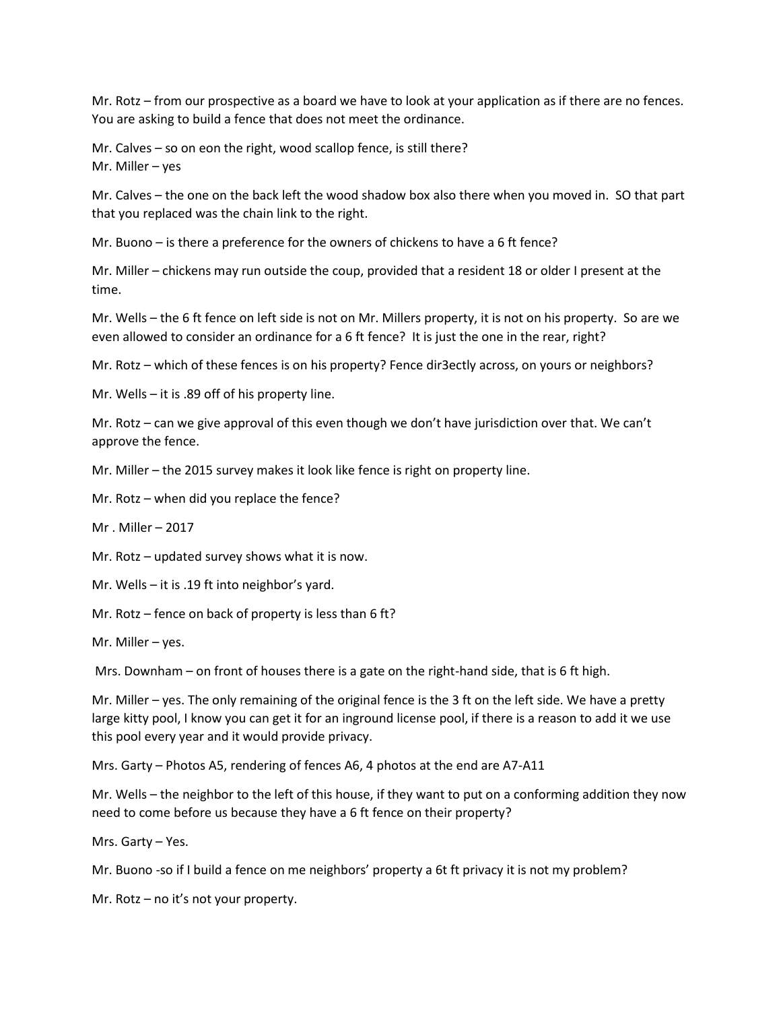Mr. Rotz – from our prospective as a board we have to look at your application as if there are no fences. You are asking to build a fence that does not meet the ordinance.

Mr. Calves – so on eon the right, wood scallop fence, is still there? Mr. Miller – yes

Mr. Calves – the one on the back left the wood shadow box also there when you moved in. SO that part that you replaced was the chain link to the right.

Mr. Buono – is there a preference for the owners of chickens to have a 6 ft fence?

Mr. Miller – chickens may run outside the coup, provided that a resident 18 or older I present at the time.

Mr. Wells – the 6 ft fence on left side is not on Mr. Millers property, it is not on his property. So are we even allowed to consider an ordinance for a 6 ft fence? It is just the one in the rear, right?

Mr. Rotz – which of these fences is on his property? Fence dir3ectly across, on yours or neighbors?

Mr. Wells – it is .89 off of his property line.

Mr. Rotz – can we give approval of this even though we don't have jurisdiction over that. We can't approve the fence.

Mr. Miller – the 2015 survey makes it look like fence is right on property line.

Mr. Rotz – when did you replace the fence?

Mr . Miller – 2017

Mr. Rotz – updated survey shows what it is now.

Mr. Wells – it is .19 ft into neighbor's yard.

Mr. Rotz – fence on back of property is less than 6 ft?

Mr. Miller – yes.

Mrs. Downham – on front of houses there is a gate on the right-hand side, that is 6 ft high.

Mr. Miller – yes. The only remaining of the original fence is the 3 ft on the left side. We have a pretty large kitty pool, I know you can get it for an inground license pool, if there is a reason to add it we use this pool every year and it would provide privacy.

Mrs. Garty – Photos A5, rendering of fences A6, 4 photos at the end are A7-A11

Mr. Wells – the neighbor to the left of this house, if they want to put on a conforming addition they now need to come before us because they have a 6 ft fence on their property?

Mrs. Garty – Yes.

Mr. Buono -so if I build a fence on me neighbors' property a 6t ft privacy it is not my problem?

Mr. Rotz – no it's not your property.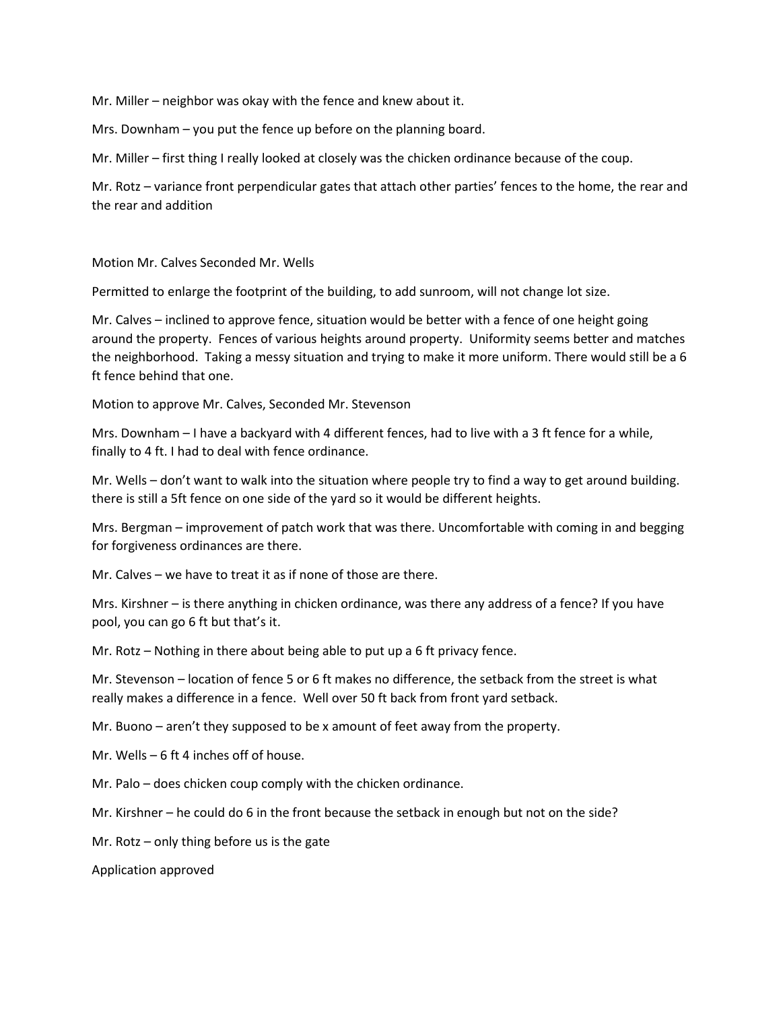Mr. Miller – neighbor was okay with the fence and knew about it.

Mrs. Downham – you put the fence up before on the planning board.

Mr. Miller – first thing I really looked at closely was the chicken ordinance because of the coup.

Mr. Rotz – variance front perpendicular gates that attach other parties' fences to the home, the rear and the rear and addition

Motion Mr. Calves Seconded Mr. Wells

Permitted to enlarge the footprint of the building, to add sunroom, will not change lot size.

Mr. Calves – inclined to approve fence, situation would be better with a fence of one height going around the property. Fences of various heights around property. Uniformity seems better and matches the neighborhood. Taking a messy situation and trying to make it more uniform. There would still be a 6 ft fence behind that one.

Motion to approve Mr. Calves, Seconded Mr. Stevenson

Mrs. Downham – I have a backyard with 4 different fences, had to live with a 3 ft fence for a while, finally to 4 ft. I had to deal with fence ordinance.

Mr. Wells – don't want to walk into the situation where people try to find a way to get around building. there is still a 5ft fence on one side of the yard so it would be different heights.

Mrs. Bergman – improvement of patch work that was there. Uncomfortable with coming in and begging for forgiveness ordinances are there.

Mr. Calves – we have to treat it as if none of those are there.

Mrs. Kirshner – is there anything in chicken ordinance, was there any address of a fence? If you have pool, you can go 6 ft but that's it.

Mr. Rotz – Nothing in there about being able to put up a 6 ft privacy fence.

Mr. Stevenson – location of fence 5 or 6 ft makes no difference, the setback from the street is what really makes a difference in a fence. Well over 50 ft back from front yard setback.

Mr. Buono – aren't they supposed to be x amount of feet away from the property.

Mr. Wells – 6 ft 4 inches off of house.

Mr. Palo – does chicken coup comply with the chicken ordinance.

Mr. Kirshner – he could do 6 in the front because the setback in enough but not on the side?

Mr. Rotz – only thing before us is the gate

Application approved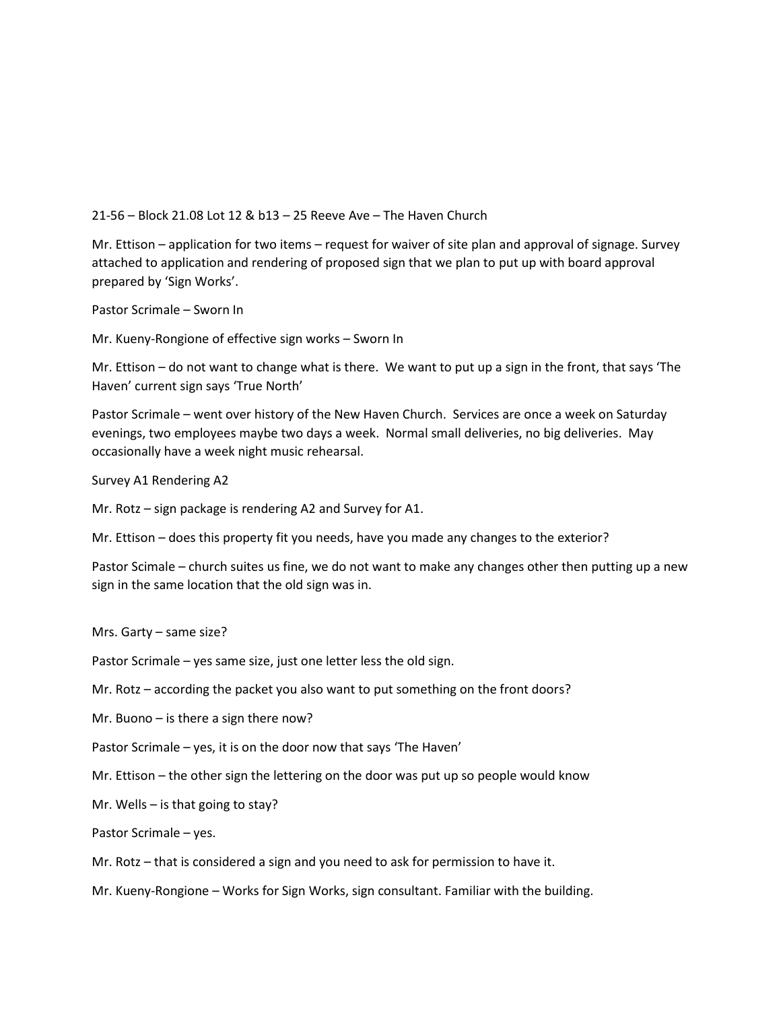21-56 – Block 21.08 Lot 12 & b13 – 25 Reeve Ave – The Haven Church

Mr. Ettison – application for two items – request for waiver of site plan and approval of signage. Survey attached to application and rendering of proposed sign that we plan to put up with board approval prepared by 'Sign Works'.

Pastor Scrimale – Sworn In

Mr. Kueny-Rongione of effective sign works – Sworn In

Mr. Ettison – do not want to change what is there. We want to put up a sign in the front, that says 'The Haven' current sign says 'True North'

Pastor Scrimale – went over history of the New Haven Church. Services are once a week on Saturday evenings, two employees maybe two days a week. Normal small deliveries, no big deliveries. May occasionally have a week night music rehearsal.

Survey A1 Rendering A2

Mr. Rotz – sign package is rendering A2 and Survey for A1.

Mr. Ettison – does this property fit you needs, have you made any changes to the exterior?

Pastor Scimale – church suites us fine, we do not want to make any changes other then putting up a new sign in the same location that the old sign was in.

Mrs. Garty – same size?

Pastor Scrimale – yes same size, just one letter less the old sign.

Mr. Rotz – according the packet you also want to put something on the front doors?

Mr. Buono – is there a sign there now?

Pastor Scrimale – yes, it is on the door now that says 'The Haven'

Mr. Ettison – the other sign the lettering on the door was put up so people would know

Mr. Wells – is that going to stay?

Pastor Scrimale – yes.

Mr. Rotz – that is considered a sign and you need to ask for permission to have it.

Mr. Kueny-Rongione – Works for Sign Works, sign consultant. Familiar with the building.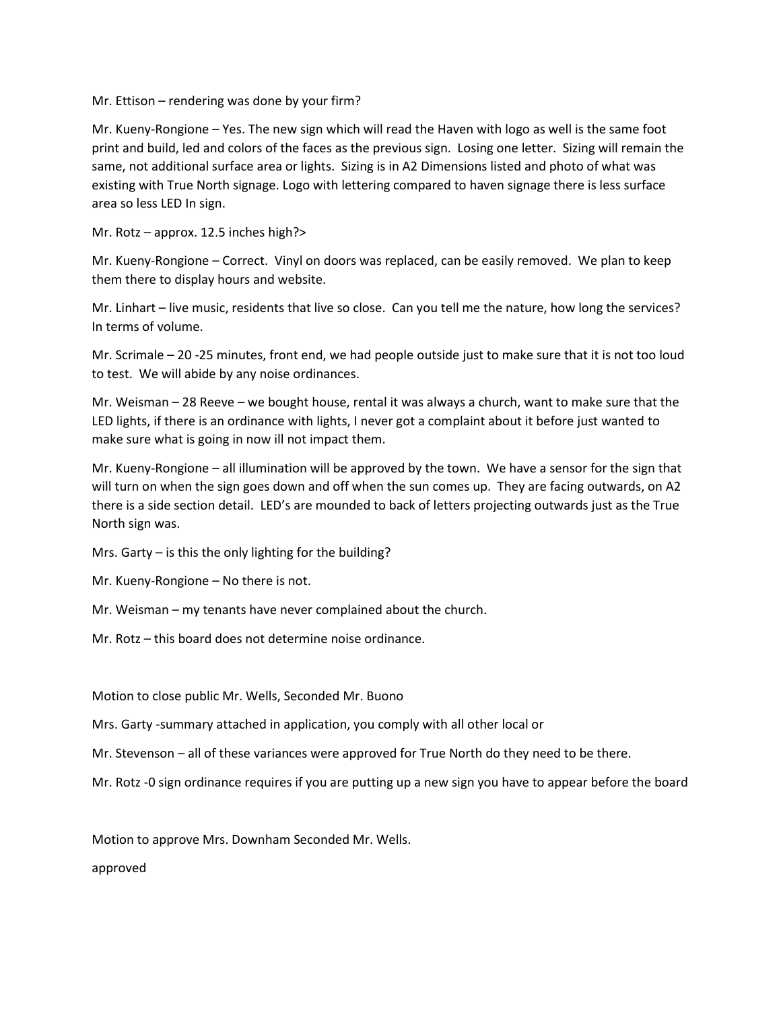Mr. Ettison – rendering was done by your firm?

Mr. Kueny-Rongione – Yes. The new sign which will read the Haven with logo as well is the same foot print and build, led and colors of the faces as the previous sign. Losing one letter. Sizing will remain the same, not additional surface area or lights. Sizing is in A2 Dimensions listed and photo of what was existing with True North signage. Logo with lettering compared to haven signage there is less surface area so less LED In sign.

Mr. Rotz – approx. 12.5 inches high?>

Mr. Kueny-Rongione – Correct. Vinyl on doors was replaced, can be easily removed. We plan to keep them there to display hours and website.

Mr. Linhart – live music, residents that live so close. Can you tell me the nature, how long the services? In terms of volume.

Mr. Scrimale – 20 -25 minutes, front end, we had people outside just to make sure that it is not too loud to test. We will abide by any noise ordinances.

Mr. Weisman – 28 Reeve – we bought house, rental it was always a church, want to make sure that the LED lights, if there is an ordinance with lights, I never got a complaint about it before just wanted to make sure what is going in now ill not impact them.

Mr. Kueny-Rongione – all illumination will be approved by the town. We have a sensor for the sign that will turn on when the sign goes down and off when the sun comes up. They are facing outwards, on A2 there is a side section detail. LED's are mounded to back of letters projecting outwards just as the True North sign was.

Mrs. Garty – is this the only lighting for the building?

Mr. Kueny-Rongione – No there is not.

Mr. Weisman – my tenants have never complained about the church.

Mr. Rotz – this board does not determine noise ordinance.

Motion to close public Mr. Wells, Seconded Mr. Buono

Mrs. Garty -summary attached in application, you comply with all other local or

Mr. Stevenson – all of these variances were approved for True North do they need to be there.

Mr. Rotz -0 sign ordinance requires if you are putting up a new sign you have to appear before the board

Motion to approve Mrs. Downham Seconded Mr. Wells.

approved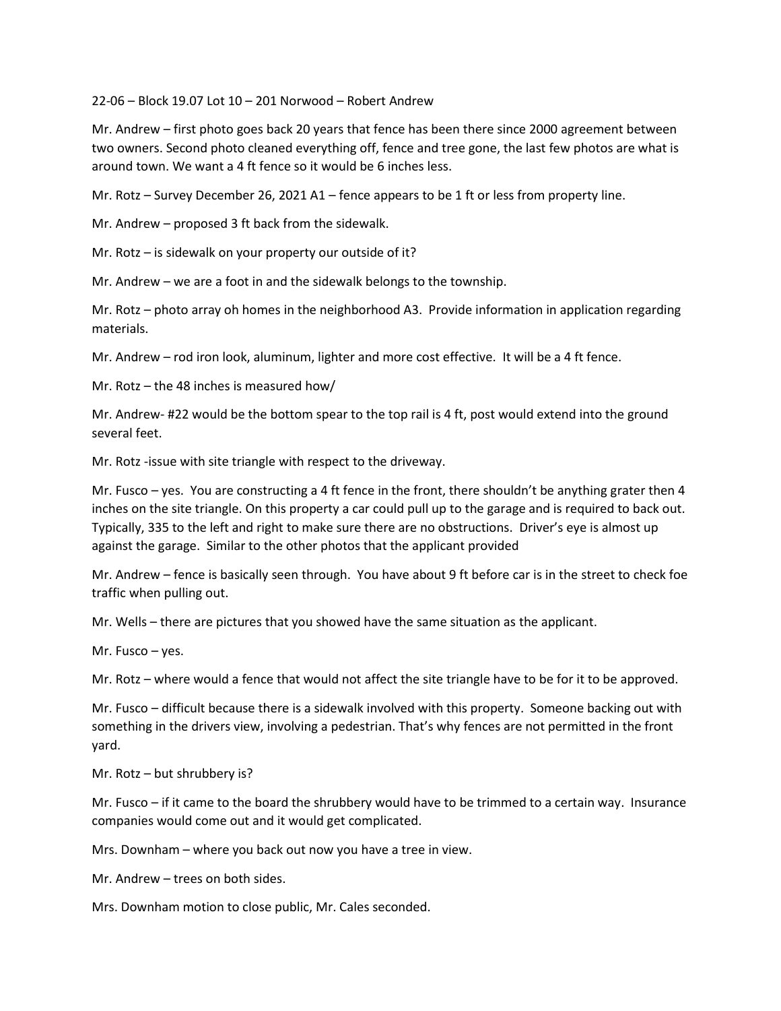22-06 – Block 19.07 Lot 10 – 201 Norwood – Robert Andrew

Mr. Andrew – first photo goes back 20 years that fence has been there since 2000 agreement between two owners. Second photo cleaned everything off, fence and tree gone, the last few photos are what is around town. We want a 4 ft fence so it would be 6 inches less.

Mr. Rotz – Survey December 26, 2021 A1 – fence appears to be 1 ft or less from property line.

Mr. Andrew – proposed 3 ft back from the sidewalk.

Mr. Rotz – is sidewalk on your property our outside of it?

Mr. Andrew – we are a foot in and the sidewalk belongs to the township.

Mr. Rotz – photo array oh homes in the neighborhood A3. Provide information in application regarding materials.

Mr. Andrew – rod iron look, aluminum, lighter and more cost effective. It will be a 4 ft fence.

Mr. Rotz – the 48 inches is measured how/

Mr. Andrew- #22 would be the bottom spear to the top rail is 4 ft, post would extend into the ground several feet.

Mr. Rotz -issue with site triangle with respect to the driveway.

Mr. Fusco – yes. You are constructing a 4 ft fence in the front, there shouldn't be anything grater then 4 inches on the site triangle. On this property a car could pull up to the garage and is required to back out. Typically, 335 to the left and right to make sure there are no obstructions. Driver's eye is almost up against the garage. Similar to the other photos that the applicant provided

Mr. Andrew – fence is basically seen through. You have about 9 ft before car is in the street to check foe traffic when pulling out.

Mr. Wells – there are pictures that you showed have the same situation as the applicant.

Mr. Fusco – yes.

Mr. Rotz – where would a fence that would not affect the site triangle have to be for it to be approved.

Mr. Fusco – difficult because there is a sidewalk involved with this property. Someone backing out with something in the drivers view, involving a pedestrian. That's why fences are not permitted in the front yard.

Mr. Rotz – but shrubbery is?

Mr. Fusco – if it came to the board the shrubbery would have to be trimmed to a certain way. Insurance companies would come out and it would get complicated.

Mrs. Downham – where you back out now you have a tree in view.

Mr. Andrew – trees on both sides.

Mrs. Downham motion to close public, Mr. Cales seconded.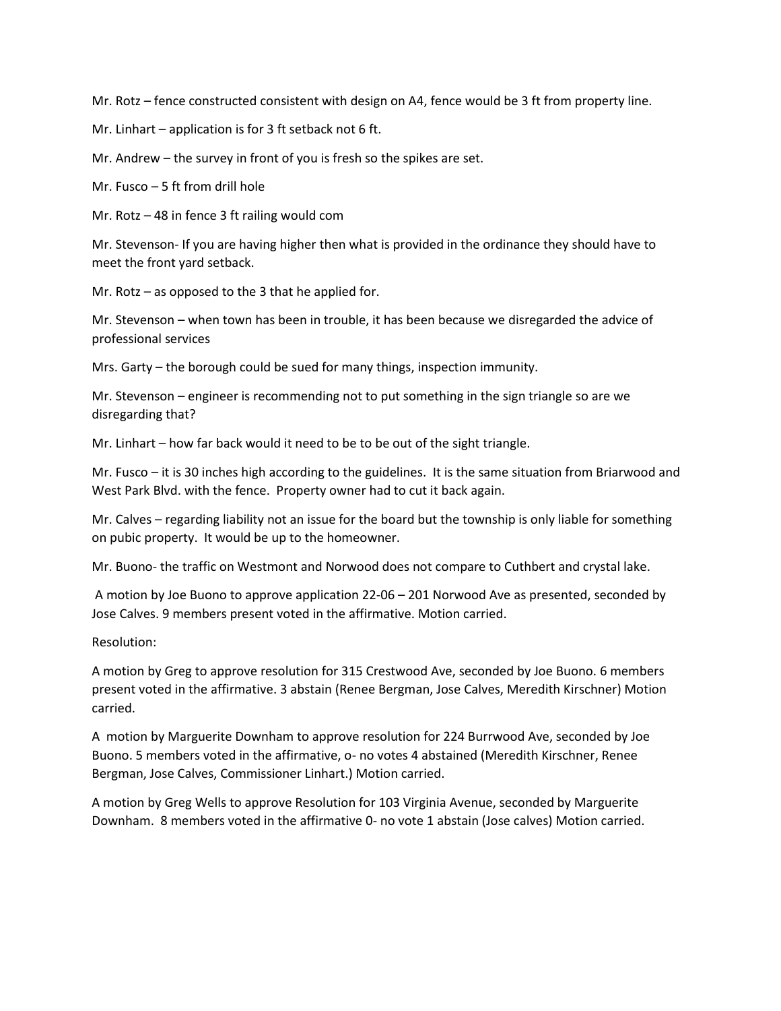Mr. Rotz – fence constructed consistent with design on A4, fence would be 3 ft from property line.

Mr. Linhart – application is for 3 ft setback not 6 ft.

Mr. Andrew – the survey in front of you is fresh so the spikes are set.

Mr. Fusco – 5 ft from drill hole

Mr. Rotz – 48 in fence 3 ft railing would com

Mr. Stevenson- If you are having higher then what is provided in the ordinance they should have to meet the front yard setback.

Mr. Rotz – as opposed to the 3 that he applied for.

Mr. Stevenson – when town has been in trouble, it has been because we disregarded the advice of professional services

Mrs. Garty – the borough could be sued for many things, inspection immunity.

Mr. Stevenson – engineer is recommending not to put something in the sign triangle so are we disregarding that?

Mr. Linhart – how far back would it need to be to be out of the sight triangle.

Mr. Fusco – it is 30 inches high according to the guidelines. It is the same situation from Briarwood and West Park Blvd. with the fence. Property owner had to cut it back again.

Mr. Calves – regarding liability not an issue for the board but the township is only liable for something on pubic property. It would be up to the homeowner.

Mr. Buono- the traffic on Westmont and Norwood does not compare to Cuthbert and crystal lake.

A motion by Joe Buono to approve application 22-06 – 201 Norwood Ave as presented, seconded by Jose Calves. 9 members present voted in the affirmative. Motion carried.

Resolution:

A motion by Greg to approve resolution for 315 Crestwood Ave, seconded by Joe Buono. 6 members present voted in the affirmative. 3 abstain (Renee Bergman, Jose Calves, Meredith Kirschner) Motion carried.

A motion by Marguerite Downham to approve resolution for 224 Burrwood Ave, seconded by Joe Buono. 5 members voted in the affirmative, o- no votes 4 abstained (Meredith Kirschner, Renee Bergman, Jose Calves, Commissioner Linhart.) Motion carried.

A motion by Greg Wells to approve Resolution for 103 Virginia Avenue, seconded by Marguerite Downham. 8 members voted in the affirmative 0- no vote 1 abstain (Jose calves) Motion carried.